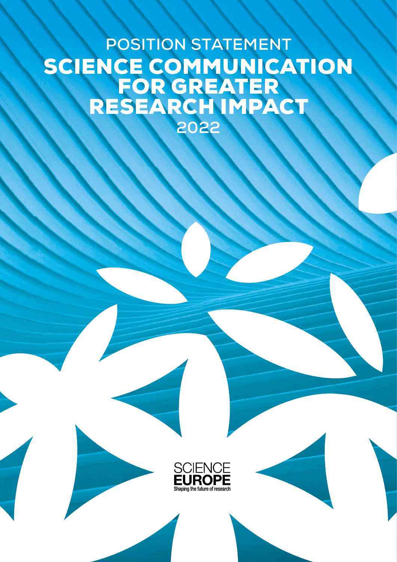## **POSITION STATEMENT** SCIENCE COMMUNICATION FOR GREATER RESEARCH IMPACT **2022**

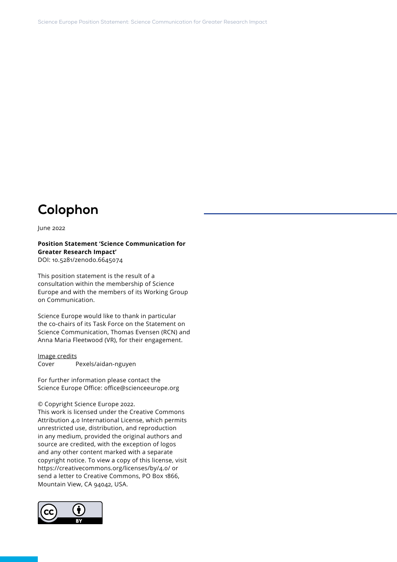### **Colophon**

June 2022

**Position Statement 'Science Communication for Greater Research Impact'** DOI: 10.5281/zenodo.6645074

This position statement is the result of a consultation within the membership of Science Europe and with the members of its Working Group on Communication.

Science Europe would like to thank in particular the co-chairs of its Task Force on the Statement on Science Communication, Thomas Evensen (RCN) and Anna Maria Fleetwood (VR), for their engagement.

Image credits Cover Pexels/aidan-nguyen

For further information please contact the Science Europe Office: office@scienceeurope.org

© Copyright Science Europe 2022.

This work is licensed under the Creative Commons Attribution 4.0 International License, which permits unrestricted use, distribution, and reproduction in any medium, provided the original authors and source are credited, with the exception of logos and any other content marked with a separate copyright notice. To view a copy of this license, visit https://creativecommons.org/licenses/by/4.0/ or send a letter to Creative Commons, PO Box 1866, Mountain View, CA 94042, USA.

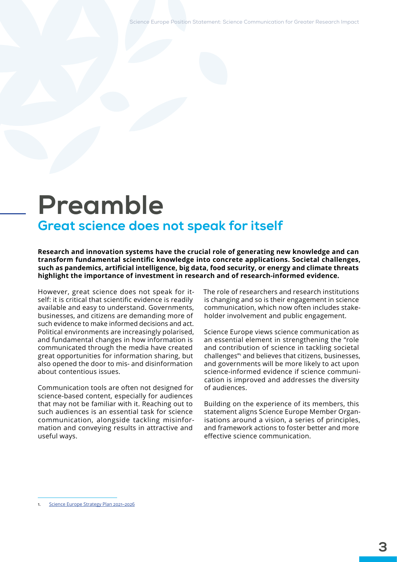Science Europe Position Statement: Science Communication for Greater Research Impact

## **Preamble Great science does not speak for itself**

**Research and innovation systems have the crucial role of generating new knowledge and can transform fundamental scientific knowledge into concrete applications. Societal challenges, such as pandemics, artificial intelligence, big data, food security, or energy and climate threats highlight the importance of investment in research and of research-informed evidence.** 

However, great science does not speak for itself: it is critical that scientific evidence is readily available and easy to understand. Governments, businesses, and citizens are demanding more of such evidence to make informed decisions and act. Political environments are increasingly polarised, and fundamental changes in how information is communicated through the media have created great opportunities for information sharing, but also opened the door to mis- and disinformation about contentious issues.

Communication tools are often not designed for science-based content, especially for audiences that may not be familiar with it. Reaching out to such audiences is an essential task for science communication, alongside tackling misinformation and conveying results in attractive and useful ways.

The role of researchers and research institutions is changing and so is their engagement in science communication, which now often includes stakeholder involvement and public engagement.

Science Europe views science communication as an essential element in strengthening the "role and contribution of science in tackling societal challenges"[1](#page-2-0) and believes that citizens, businesses, and governments will be more likely to act upon science-informed evidence if science communication is improved and addresses the diversity of audiences.

Building on the experience of its members, this statement aligns Science Europe Member Organisations around a vision, a series of principles, and framework actions to foster better and more effective science communication.

<span id="page-2-0"></span><sup>1.</sup> [Science Europe Strategy Plan 2021–2026](https://www.scienceeurope.org/our-resources/strategy-2021-2026/)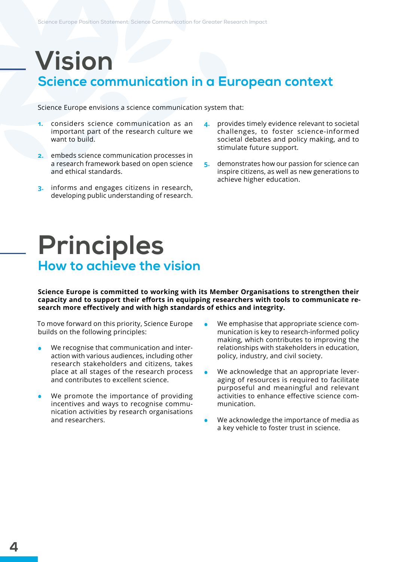# **Vision**

### **Science communication in a European context**

Science Europe envisions a science communication system that:

- **1.** considers science communication as an important part of the research culture we want to build.
- **2.** embeds science communication processes in a research framework based on open science and ethical standards.
- **3.** informs and engages citizens in research, developing public understanding of research.
- **4.** provides timely evidence relevant to societal challenges, to foster science-informed societal debates and policy making, and to stimulate future support.
- **5.** demonstrates how our passion for science can inspire citizens, as well as new generations to achieve higher education.

## **Principles How to achieve the vision**

**Science Europe is committed to working with its Member Organisations to strengthen their capacity and to support their efforts in equipping researchers with tools to communicate research more effectively and with high standards of ethics and integrity.**

To move forward on this priority, Science Europe builds on the following principles:

- **•** We recognise that communication and interaction with various audiences, including other research stakeholders and citizens, takes place at all stages of the research process and contributes to excellent science.
- **•** We promote the importance of providing incentives and ways to recognise communication activities by research organisations and researchers.
- **•** We emphasise that appropriate science communication is key to research-informed policy making, which contributes to improving the relationships with stakeholders in education, policy, industry, and civil society.
- **•** We acknowledge that an appropriate leveraging of resources is required to facilitate purposeful and meaningful and relevant activities to enhance effective science communication.
- **•** We acknowledge the importance of media as a key vehicle to foster trust in science.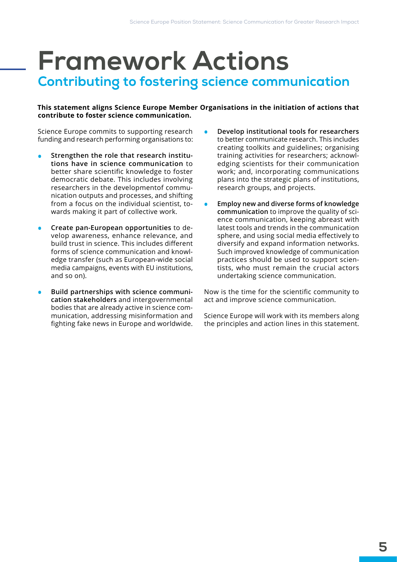## **Framework Actions Contributing to fostering science communication**

#### **This statement aligns Science Europe Member Organisations in the initiation of actions that contribute to foster science communication.**

Science Europe commits to supporting research funding and research performing organisations to:

- **• Strengthen the role that research institutions have in science communication** to better share scientific knowledge to foster democratic debate. This includes involving researchers in the developmentof communication outputs and processes, and shifting from a focus on the individual scientist, towards making it part of collective work.
- **• Create pan-European opportunities** to develop awareness, enhance relevance, and build trust in science. This includes different forms of science communication and knowledge transfer (such as European-wide social media campaigns, events with EU institutions, and so on).
- **• Build partnerships with science communication stakeholders** and intergovernmental bodies that are already active in science communication, addressing misinformation and fighting fake news in Europe and worldwide.
- **• Develop institutional tools for researchers** to better communicate research. This includes creating toolkits and guidelines; organising training activities for researchers; acknowledging scientists for their communication work; and, incorporating communications plans into the strategic plans of institutions, research groups, and projects.
- **• Employ new and diverse forms of knowledge communication** to improve the quality of science communication, keeping abreast with latest tools and trends in the communication sphere, and using social media effectively to diversify and expand information networks. Such improved knowledge of communication practices should be used to support scientists, who must remain the crucial actors undertaking science communication.

Now is the time for the scientific community to act and improve science communication.

Science Europe will work with its members along the principles and action lines in this statement.